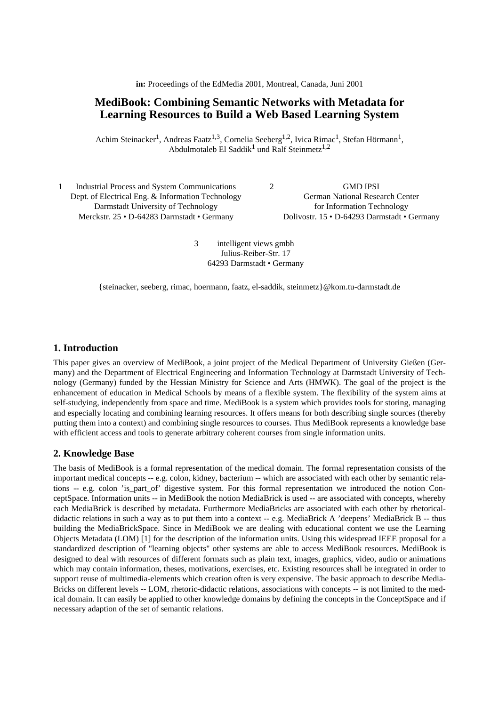**in:** Proceedings of the EdMedia 2001, Montreal, Canada, Juni 2001

# **MediBook: Combining Semantic Networks with Metadata for Learning Resources to Build a Web Based Learning System**

Achim Steinacker<sup>1</sup>, Andreas Faatz<sup>1,3</sup>, Cornelia Seeberg<sup>1,2</sup>, Ivica Rimac<sup>1</sup>, Stefan Hörmann<sup>1</sup>, Abdulmotaleb El Saddik<sup>1</sup> und Ralf Steinmetz<sup>1,2</sup>

| Industrial Process and System Communications      | <b>GMD IPSI</b>                             |  |
|---------------------------------------------------|---------------------------------------------|--|
| Dept. of Electrical Eng. & Information Technology | <b>German National Research Center</b>      |  |
| Darmstadt University of Technology                | for Information Technology                  |  |
| Merckstr. 25 • D-64283 Darmstadt • Germany        | Dolivostr. 15 • D-64293 Darmstadt • Germany |  |
|                                                   |                                             |  |

3 intelligent views gmbh Julius-Reiber-Str. 17 64293 Darmstadt • Germany

{steinacker, seeberg, rimac, hoermann, faatz, el-saddik, steinmetz}@kom.tu-darmstadt.de

#### **1. Introduction**

This paper gives an overview of MediBook, a joint project of the Medical Department of University Gießen (Germany) and the Department of Electrical Engineering and Information Technology at Darmstadt University of Technology (Germany) funded by the Hessian Ministry for Science and Arts (HMWK). The goal of the project is the enhancement of education in Medical Schools by means of a flexible system. The flexibility of the system aims at self-studying, independently from space and time. MediBook is a system which provides tools for storing, managing and especially locating and combining learning resources. It offers means for both describing single sources (thereby putting them into a context) and combining single resources to courses. Thus MediBook represents a knowledge base with efficient access and tools to generate arbitrary coherent courses from single information units.

#### **2. Knowledge Base**

The basis of MediBook is a formal representation of the medical domain. The formal representation consists of the important medical concepts -- e.g. colon, kidney, bacterium -- which are associated with each other by semantic relations -- e.g. colon 'is\_part\_of' digestive system. For this formal representation we introduced the notion ConceptSpace. Information units -- in MediBook the notion MediaBrick is used -- are associated with concepts, whereby each MediaBrick is described by metadata. Furthermore MediaBricks are associated with each other by rhetoricaldidactic relations in such a way as to put them into a context -- e.g. MediaBrick A 'deepens' MediaBrick B -- thus building the MediaBrickSpace. Since in MediBook we are dealing with educational content we use the Learning Objects Metadata (LOM) [1] for the description of the information units. Using this widespread IEEE proposal for a standardized description of "learning objects" other systems are able to access MediBook resources. MediBook is designed to deal with resources of different formats such as plain text, images, graphics, video, audio or animations which may contain information, theses, motivations, exercises, etc. Existing resources shall be integrated in order to support reuse of multimedia-elements which creation often is very expensive. The basic approach to describe Media-Bricks on different levels -- LOM, rhetoric-didactic relations, associations with concepts -- is not limited to the medical domain. It can easily be applied to other knowledge domains by defining the concepts in the ConceptSpace and if necessary adaption of the set of semantic relations.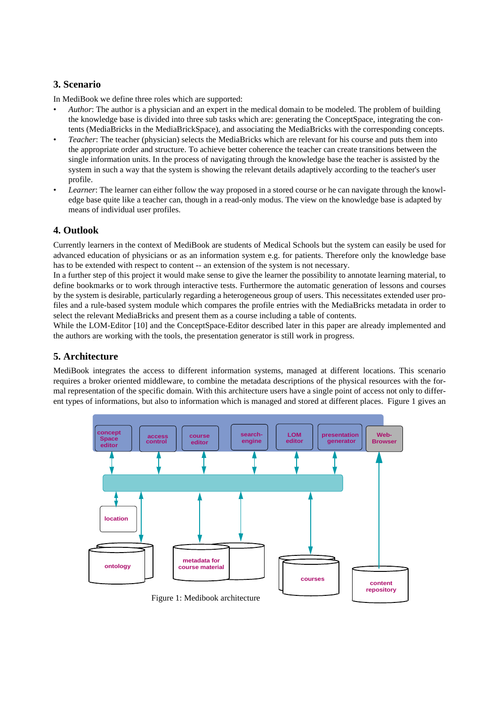## **3. Scenario**

In MediBook we define three roles which are supported:

- *Author*: The author is a physician and an expert in the medical domain to be modeled. The problem of building the knowledge base is divided into three sub tasks which are: generating the ConceptSpace, integrating the contents (MediaBricks in the MediaBrickSpace), and associating the MediaBricks with the corresponding concepts.
- *Teacher*: The teacher (physician) selects the MediaBricks which are relevant for his course and puts them into the appropriate order and structure. To achieve better coherence the teacher can create transitions between the single information units. In the process of navigating through the knowledge base the teacher is assisted by the system in such a way that the system is showing the relevant details adaptively according to the teacher's user profile.
- *Learner*: The learner can either follow the way proposed in a stored course or he can navigate through the knowledge base quite like a teacher can, though in a read-only modus. The view on the knowledge base is adapted by means of individual user profiles.

### **4. Outlook**

Currently learners in the context of MediBook are students of Medical Schools but the system can easily be used for advanced education of physicians or as an information system e.g. for patients. Therefore only the knowledge base has to be extended with respect to content -- an extension of the system is not necessary.

In a further step of this project it would make sense to give the learner the possibility to annotate learning material, to define bookmarks or to work through interactive tests. Furthermore the automatic generation of lessons and courses by the system is desirable, particularly regarding a heterogeneous group of users. This necessitates extended user profiles and a rule-based system module which compares the profile entries with the MediaBricks metadata in order to select the relevant MediaBricks and present them as a course including a table of contents.

While the LOM-Editor [10] and the ConceptSpace-Editor described later in this paper are already implemented and the authors are working with the tools, the presentation generator is still work in progress.

### **5. Architecture**

MediBook integrates the access to different information systems, managed at different locations. This scenario requires a broker oriented middleware, to combine the metadata descriptions of the physical resources with the formal representation of the specific domain. With this architecture users have a single point of access not only to different types of informations, but also to information which is managed and stored at different places. Figure 1 gives an



Figure 1: Medibook architecture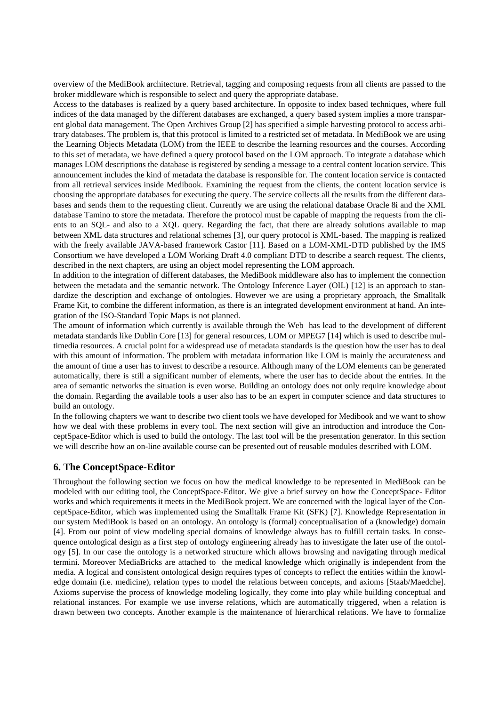overview of the MediBook architecture. Retrieval, tagging and composing requests from all clients are passed to the broker middleware which is responsible to select and query the appropriate database.

Access to the databases is realized by a query based architecture. In opposite to index based techniques, where full indices of the data managed by the different databases are exchanged, a query based system implies a more transparent global data management. The Open Archives Group [2] has specified a simple harvesting protocol to access arbitrary databases. The problem is, that this protocol is limited to a restricted set of metadata. In MediBook we are using the Learning Objects Metadata (LOM) from the IEEE to describe the learning resources and the courses. According to this set of metadata, we have defined a query protocol based on the LOM approach. To integrate a database which manages LOM descriptions the database is registered by sending a message to a central content location service. This announcement includes the kind of metadata the database is responsible for. The content location service is contacted from all retrieval services inside Medibook. Examining the request from the clients, the content location service is choosing the appropriate databases for executing the query. The service collects all the results from the different databases and sends them to the requesting client. Currently we are using the relational database Oracle 8i and the XML database Tamino to store the metadata. Therefore the protocol must be capable of mapping the requests from the clients to an SQL- and also to a XQL query. Regarding the fact, that there are already solutions available to map between XML data structures and relational schemes [3], our query protocol is XML-based. The mapping is realized with the freely available JAVA-based framework Castor [11]. Based on a LOM-XML-DTD published by the IMS Consortium we have developed a LOM Working Draft 4.0 compliant DTD to describe a search request. The clients, described in the next chapters, are using an object model representing the LOM approach.

In addition to the integration of different databases, the MediBook middleware also has to implement the connection between the metadata and the semantic network. The Ontology Inference Layer (OIL) [12] is an approach to standardize the description and exchange of ontologies. However we are using a proprietary approach, the Smalltalk Frame Kit, to combine the different information, as there is an integrated development environment at hand. An integration of the ISO-Standard Topic Maps is not planned.

The amount of information which currently is available through the Web has lead to the development of different metadata standards like Dublin Core [13] for general resources, LOM or MPEG7 [14] which is used to describe multimedia resources. A crucial point for a widespread use of metadata standards is the question how the user has to deal with this amount of information. The problem with metadata information like LOM is mainly the accurateness and the amount of time a user has to invest to describe a resource. Although many of the LOM elements can be generated automatically, there is still a significant number of elements, where the user has to decide about the entries. In the area of semantic networks the situation is even worse. Building an ontology does not only require knowledge about the domain. Regarding the available tools a user also has to be an expert in computer science and data structures to build an ontology.

In the following chapters we want to describe two client tools we have developed for Medibook and we want to show how we deal with these problems in every tool. The next section will give an introduction and introduce the ConceptSpace-Editor which is used to build the ontology. The last tool will be the presentation generator. In this section we will describe how an on-line available course can be presented out of reusable modules described with LOM.

### **6. The ConceptSpace-Editor**

Throughout the following section we focus on how the medical knowledge to be represented in MediBook can be modeled with our editing tool, the ConceptSpace-Editor. We give a brief survey on how the ConceptSpace- Editor works and which requirements it meets in the MediBook project. We are concerned with the logical layer of the ConceptSpace-Editor, which was implemented using the Smalltalk Frame Kit (SFK) [7]. Knowledge Representation in our system MediBook is based on an ontology. An ontology is (formal) conceptualisation of a (knowledge) domain [4]. From our point of view modeling special domains of knowledge always has to fulfill certain tasks. In consequence ontological design as a first step of ontology engineering already has to investigate the later use of the ontology [5]. In our case the ontology is a networked structure which allows browsing and navigating through medical termini. Moreover MediaBricks are attached to the medical knowledge which originally is independent from the media. A logical and consistent ontological design requires types of concepts to reflect the entities within the knowledge domain (i.e. medicine), relation types to model the relations between concepts, and axioms [Staab/Maedche]. Axioms supervise the process of knowledge modeling logically, they come into play while building conceptual and relational instances. For example we use inverse relations, which are automatically triggered, when a relation is drawn between two concepts. Another example is the maintenance of hierarchical relations. We have to formalize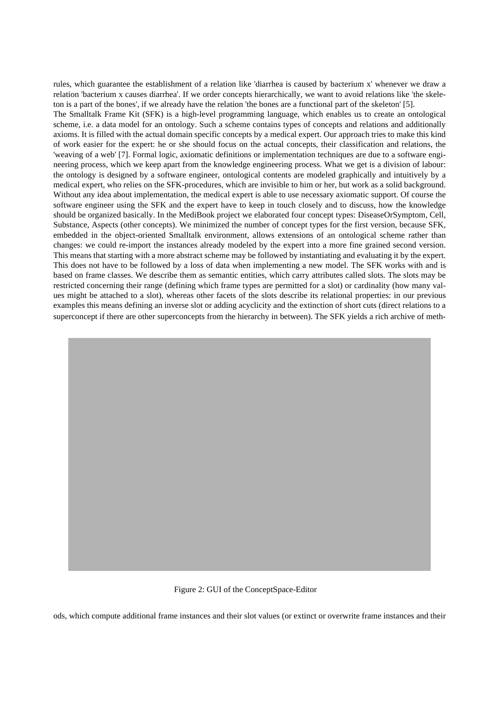rules, which guarantee the establishment of a relation like 'diarrhea is caused by bacterium x' whenever we draw a relation 'bacterium x causes diarrhea'. If we order concepts hierarchically, we want to avoid relations like 'the skeleton is a part of the bones', if we already have the relation 'the bones are a functional part of the skeleton' [5]. The Smalltalk Frame Kit (SFK) is a high-level programming language, which enables us to create an ontological scheme, i.e. a data model for an ontology. Such a scheme contains types of concepts and relations and additionally axioms. It is filled with the actual domain specific concepts by a medical expert. Our approach tries to make this kind of work easier for the expert: he or she should focus on the actual concepts, their classification and relations, the 'weaving of a web' [7]. Formal logic, axiomatic definitions or implementation techniques are due to a software engineering process, which we keep apart from the knowledge engineering process. What we get is a division of labour: the ontology is designed by a software engineer, ontological contents are modeled graphically and intuitively by a medical expert, who relies on the SFK-procedures, which are invisible to him or her, but work as a solid background. Without any idea about implementation, the medical expert is able to use necessary axiomatic support. Of course the software engineer using the SFK and the expert have to keep in touch closely and to discuss, how the knowledge should be organized basically. In the MediBook project we elaborated four concept types: DiseaseOrSymptom, Cell, Substance, Aspects (other concepts). We minimized the number of concept types for the first version, because SFK, embedded in the object-oriented Smalltalk environment, allows extensions of an ontological scheme rather than changes: we could re-import the instances already modeled by the expert into a more fine grained second version. This means that starting with a more abstract scheme may be followed by instantiating and evaluating it by the expert. This does not have to be followed by a loss of data when implementing a new model. The SFK works with and is based on frame classes. We describe them as semantic entities, which carry attributes called slots. The slots may be restricted concerning their range (defining which frame types are permitted for a slot) or cardinality (how many values might be attached to a slot), whereas other facets of the slots describe its relational properties: in our previous examples this means defining an inverse slot or adding acyclicity and the extinction of short cuts (direct relations to a superconcept if there are other superconcepts from the hierarchy in between). The SFK yields a rich archive of meth-



ods, which compute additional frame instances and their slot values (or extinct or overwrite frame instances and their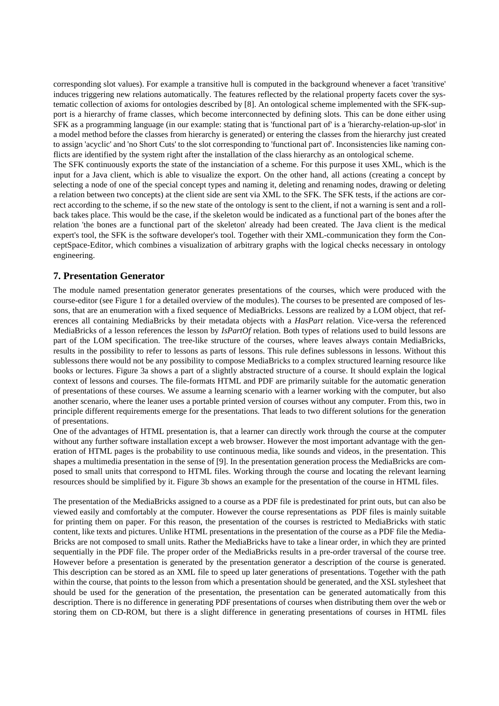corresponding slot values). For example a transitive hull is computed in the background whenever a facet 'transitive' induces triggering new relations automatically. The features reflected by the relational property facets cover the systematic collection of axioms for ontologies described by [8]. An ontological scheme implemented with the SFK-support is a hierarchy of frame classes, which become interconnected by defining slots. This can be done either using SFK as a programming language (in our example: stating that is 'functional part of' is a 'hierarchy-relation-up-slot' in a model method before the classes from hierarchy is generated) or entering the classes from the hierarchy just created to assign 'acyclic' and 'no Short Cuts' to the slot corresponding to 'functional part of'. Inconsistencies like naming conflicts are identified by the system right after the installation of the class hierarchy as an ontological scheme.

The SFK continuously exports the state of the instanciation of a scheme. For this purpose it uses XML, which is the input for a Java client, which is able to visualize the export. On the other hand, all actions (creating a concept by selecting a node of one of the special concept types and naming it, deleting and renaming nodes, drawing or deleting a relation between two concepts) at the client side are sent via XML to the SFK. The SFK tests, if the actions are correct according to the scheme, if so the new state of the ontology is sent to the client, if not a warning is sent and a rollback takes place. This would be the case, if the skeleton would be indicated as a functional part of the bones after the relation 'the bones are a functional part of the skeleton' already had been created. The Java client is the medical expert's tool, the SFK is the software developer's tool. Together with their XML-communication they form the ConceptSpace-Editor, which combines a visualization of arbitrary graphs with the logical checks necessary in ontology engineering.

### **7. Presentation Generator**

The module named presentation generator generates presentations of the courses, which were produced with the course-editor (see Figure 1 for a detailed overview of the modules). The courses to be presented are composed of lessons, that are an enumeration with a fixed sequence of MediaBricks. Lessons are realized by a LOM object, that references all containing MediaBricks by their metadata objects with a *HasPart* relation. Vice-versa the referenced MediaBricks of a lesson references the lesson by *IsPartOf* relation. Both types of relations used to build lessons are part of the LOM specification. The tree-like structure of the courses, where leaves always contain MediaBricks, results in the possibility to refer to lessons as parts of lessons. This rule defines sublessons in lessons. Without this sublessons there would not be any possibility to compose MediaBricks to a complex structured learning resource like books or lectures. Figure 3a shows a part of a slightly abstracted structure of a course. It should explain the logical context of lessons and courses. The file-formats HTML and PDF are primarily suitable for the automatic generation of presentations of these courses. We assume a learning scenario with a learner working with the computer, but also another scenario, where the leaner uses a portable printed version of courses without any computer. From this, two in principle different requirements emerge for the presentations. That leads to two different solutions for the generation of presentations.

One of the advantages of HTML presentation is, that a learner can directly work through the course at the computer without any further software installation except a web browser. However the most important advantage with the generation of HTML pages is the probability to use continuous media, like sounds and videos, in the presentation. This shapes a multimedia presentation in the sense of [9]. In the presentation generation process the MediaBricks are composed to small units that correspond to HTML files. Working through the course and locating the relevant learning resources should be simplified by it. Figure 3b shows an example for the presentation of the course in HTML files.

The presentation of the MediaBricks assigned to a course as a PDF file is predestinated for print outs, but can also be viewed easily and comfortably at the computer. However the course representations as PDF files is mainly suitable for printing them on paper. For this reason, the presentation of the courses is restricted to MediaBricks with static content, like texts and pictures. Unlike HTML presentations in the presentation of the course as a PDF file the Media-Bricks are not composed to small units. Rather the MediaBricks have to take a linear order, in which they are printed sequentially in the PDF file. The proper order of the MediaBricks results in a pre-order traversal of the course tree. However before a presentation is generated by the presentation generator a description of the course is generated. This description can be stored as an XML file to speed up later generations of presentations. Together with the path within the course, that points to the lesson from which a presentation should be generated, and the XSL stylesheet that should be used for the generation of the presentation, the presentation can be generated automatically from this description. There is no difference in generating PDF presentations of courses when distributing them over the web or storing them on CD-ROM, but there is a slight difference in generating presentations of courses in HTML files